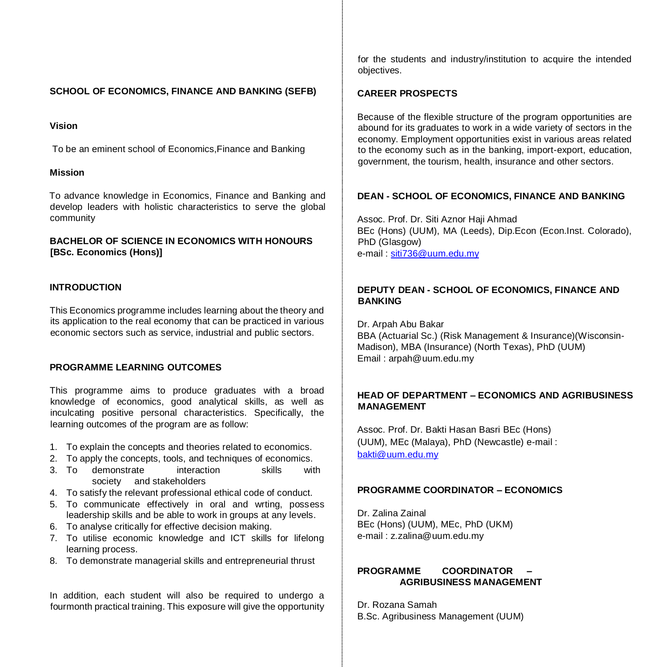# **SCHOOL OF ECONOMICS, FINANCE AND BANKING (SEFB)**

#### **Vision**

To be an eminent school of Economics,Finance and Banking

#### **Mission**

To advance knowledge in Economics, Finance and Banking and develop leaders with holistic characteristics to serve the global community

# **BACHELOR OF SCIENCE IN ECONOMICS WITH HONOURS [BSc. Economics (Hons)]**

### **INTRODUCTION**

This Economics programme includes learning about the theory and its application to the real economy that can be practiced in various economic sectors such as service, industrial and public sectors.

# **PROGRAMME LEARNING OUTCOMES**

This programme aims to produce graduates with a broad knowledge of economics, good analytical skills, as well as inculcating positive personal characteristics. Specifically, the learning outcomes of the program are as follow:

- 1. To explain the concepts and theories related to economics.
- 2. To apply the concepts, tools, and techniques of economics.
- 3. To demonstrate interaction skills with society and stakeholders
- 4. To satisfy the relevant professional ethical code of conduct.
- 5. To communicate effectively in oral and wrting, possess leadership skills and be able to work in groups at any levels.
- 6. To analyse critically for effective decision making.
- 7. To utilise economic knowledge and ICT skills for lifelong learning process.
- 8. To demonstrate managerial skills and entrepreneurial thrust

In addition, each student will also be required to undergo a fourmonth practical training. This exposure will give the opportunity for the students and industry/institution to acquire the intended objectives.

# **CAREER PROSPECTS**

Because of the flexible structure of the program opportunities are abound for its graduates to work in a wide variety of sectors in the economy. Employment opportunities exist in various areas related to the economy such as in the banking, import-export, education, government, the tourism, health, insurance and other sectors.

# **DEAN - SCHOOL OF ECONOMICS, FINANCE AND BANKING**

Assoc. Prof. Dr. Siti Aznor Haji Ahmad BEc (Hons) (UUM), MA (Leeds), Dip.Econ (Econ.Inst. Colorado), PhD (Glasgow) e-mail : siti736@uum.edu.my

# **DEPUTY DEAN - SCHOOL OF ECONOMICS, FINANCE AND BANKING**

Dr. Arpah Abu Bakar BBA (Actuarial Sc.) (Risk Management & Insurance)(Wisconsin-Madison), MBA (Insurance) (North Texas), PhD (UUM) Email : arpah@uum.edu.my

# **HEAD OF DEPARTMENT – ECONOMICS AND AGRIBUSINESS MANAGEMENT**

Assoc. Prof. Dr. Bakti Hasan Basri BEc (Hons) (UUM), MEc (Malaya), PhD (Newcastle) e-mail : bakti@uum.edu.my

#### **PROGRAMME COORDINATOR – ECONOMICS**

Dr. Zalina Zainal BEc (Hons) (UUM), MEc, PhD (UKM) e-mail : z.zalina@uum.edu.my

# **PROGRAMME COORDINATOR – AGRIBUSINESS MANAGEMENT**

Dr. Rozana Samah B.Sc. Agribusiness Management (UUM)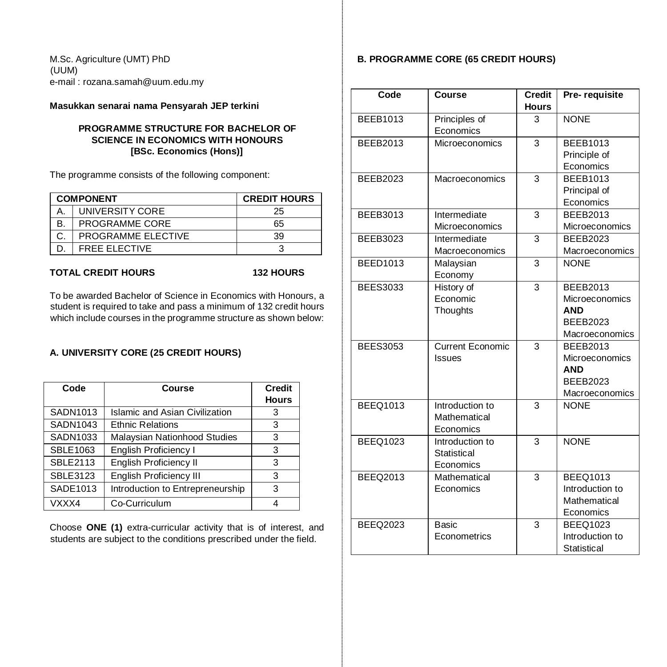M.Sc. Agriculture (UMT) PhD (UUM) e-mail : rozana.samah@uum.edu.my

**Masukkan senarai nama Pensyarah JEP terkini** 

# **PROGRAMME STRUCTURE FOR BACHELOR OF SCIENCE IN ECONOMICS WITH HONOURS [BSc. Economics (Hons)]**

The programme consists of the following component:

|    | <b>COMPONENT</b>     | <b>CREDIT HOURS</b> |
|----|----------------------|---------------------|
|    | UNIVERSITY CORE      | 25                  |
| В. | PROGRAMME CORE       | 65                  |
|    | PROGRAMME ELECTIVE   | 39                  |
|    | <b>FREE ELECTIVE</b> |                     |

**TOTAL CREDIT HOURS 132 HOURS** 

To be awarded Bachelor of Science in Economics with Honours, a student is required to take and pass a minimum of 132 credit hours which include courses in the programme structure as shown below:

### **A. UNIVERSITY CORE (25 CREDIT HOURS)**

| Code            | Course                                | <b>Credit</b><br><b>Hours</b> |
|-----------------|---------------------------------------|-------------------------------|
| SADN1013        | <b>Islamic and Asian Civilization</b> | 3                             |
| SADN1043        | <b>Ethnic Relations</b>               | 3                             |
| SADN1033        | Malaysian Nationhood Studies          | 3                             |
| SBLE1063        | <b>English Proficiency I</b>          | з                             |
| <b>SBLE2113</b> | <b>English Proficiency II</b>         | 3                             |
| <b>SBLE3123</b> | <b>English Proficiency III</b>        | 3                             |
| SADE1013        | Introduction to Entrepreneurship      | 3                             |
| VXXX4           | Co-Curriculum                         |                               |

Choose **ONE (1)** extra-curricular activity that is of interest, and students are subject to the conditions prescribed under the field.

# **B. PROGRAMME CORE (65 CREDIT HOURS)**

| Code            | <b>Course</b>           | <b>Credit</b>  | Pre-requisite         |
|-----------------|-------------------------|----------------|-----------------------|
|                 |                         | <b>Hours</b>   |                       |
| <b>BEEB1013</b> | Principles of           | 3              | <b>NONE</b>           |
|                 | Economics               |                |                       |
| <b>BEEB2013</b> | Microeconomics          | 3              | <b>BEEB1013</b>       |
|                 |                         |                | Principle of          |
|                 |                         |                | Economics             |
| <b>BEEB2023</b> | Macroeconomics          | 3              | <b>BEEB1013</b>       |
|                 |                         |                | Principal of          |
|                 |                         |                | Economics             |
| <b>BEEB3013</b> | Intermediate            | 3              | <b>BEEB2013</b>       |
|                 | Microeconomics          |                | Microeconomics        |
| <b>BEEB3023</b> | Intermediate            | 3              | <b>BEEB2023</b>       |
|                 | Macroeconomics          |                | Macroeconomics        |
| <b>BEED1013</b> | Malaysian               | 3              | <b>NONE</b>           |
|                 | Economy                 |                |                       |
| <b>BEES3033</b> | History of              | 3              | <b>BEEB2013</b>       |
|                 | Economic                |                | <b>Microeconomics</b> |
|                 | Thoughts                |                | <b>AND</b>            |
|                 |                         |                | <b>BEEB2023</b>       |
|                 |                         |                | Macroeconomics        |
| <b>BEES3053</b> | <b>Current Economic</b> | $\overline{3}$ | <b>BEEB2013</b>       |
|                 | Issues                  |                | <b>Microeconomics</b> |
|                 |                         |                | <b>AND</b>            |
|                 |                         |                | <b>BEEB2023</b>       |
|                 |                         |                | Macroeconomics        |
| <b>BEEQ1013</b> | Introduction to         | 3              | <b>NONE</b>           |
|                 | Mathematical            |                |                       |
|                 | Economics               |                |                       |
| <b>BEEQ1023</b> | Introduction to         | $\overline{3}$ | <b>NONE</b>           |
|                 | Statistical             |                |                       |
|                 | Economics               |                |                       |
| <b>BEEQ2013</b> | Mathematical            | 3              | <b>BEEQ1013</b>       |
|                 | Economics               |                | Introduction to       |
|                 |                         |                | Mathematical          |
|                 |                         |                | Economics             |
| <b>BEEQ2023</b> | Basic                   | 3              | <b>BEEQ1023</b>       |
|                 | Econometrics            |                | Introduction to       |
|                 |                         |                | Statistical           |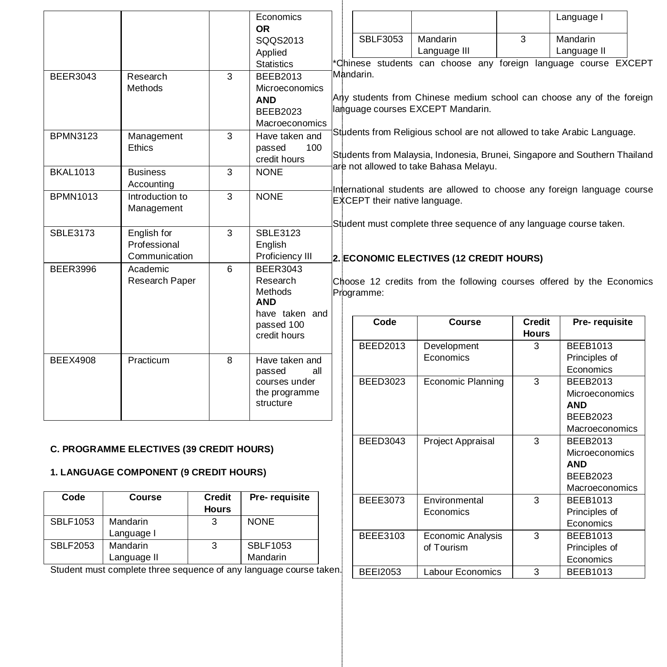|                 |                                                                                   |                               | Economics<br><b>OR</b>                                                               |                               |                                                                                                                                                       |                               | Language I                                                                           |
|-----------------|-----------------------------------------------------------------------------------|-------------------------------|--------------------------------------------------------------------------------------|-------------------------------|-------------------------------------------------------------------------------------------------------------------------------------------------------|-------------------------------|--------------------------------------------------------------------------------------|
|                 |                                                                                   |                               | SQQS2013<br>Applied                                                                  | <b>SBLF3053</b>               | Mandarin<br>Language III                                                                                                                              | 3                             | Mandarin<br>Language II                                                              |
|                 |                                                                                   |                               | <b>Statistics</b>                                                                    |                               | Chinese students can choose any foreign language course EXCEPT                                                                                        |                               |                                                                                      |
| <b>BEER3043</b> | Research<br>Methods                                                               | 3                             | <b>BEEB2013</b><br>Microeconomics<br><b>AND</b><br><b>BEEB2023</b><br>Macroeconomics | Mandarin.                     | Any students from Chinese medium school can choose any of the foreign<br>language courses EXCEPT Mandarin.                                            |                               |                                                                                      |
| <b>BPMN3123</b> | Management<br><b>Ethics</b>                                                       | 3                             | Have taken and<br>passed<br>100<br>credit hours                                      |                               | Students from Religious school are not allowed to take Arabic Language.<br>Students from Malaysia, Indonesia, Brunei, Singapore and Southern Thailand |                               |                                                                                      |
| <b>BKAL1013</b> | <b>Business</b><br>Accounting                                                     | 3                             | <b>NONE</b>                                                                          |                               | are not allowed to take Bahasa Melayu.                                                                                                                |                               |                                                                                      |
| <b>BPMN1013</b> | Introduction to<br>Management                                                     | 3                             | <b>NONE</b>                                                                          | EXCEPT their native language. | International students are allowed to choose any foreign language course                                                                              |                               |                                                                                      |
| <b>SBLE3173</b> | English for<br>Professional<br>Communication                                      | 3                             | <b>SBLE3123</b><br>English<br>Proficiency III                                        |                               | Student must complete three sequence of any language course taken.<br>2. ECONOMIC ELECTIVES (12 CREDIT HOURS)                                         |                               |                                                                                      |
| <b>BEER3996</b> | Academic<br>Research Paper                                                        | 6                             | <b>BEER3043</b><br>Research<br>Methods<br><b>AND</b><br>have taken and               | Programme:                    | Choose 12 credits from the following courses offered by the Economics                                                                                 |                               |                                                                                      |
|                 |                                                                                   |                               | passed 100<br>credit hours                                                           | Code                          | Course                                                                                                                                                | <b>Credit</b><br><b>Hours</b> | Pre-requisite                                                                        |
| <b>BEEX4908</b> | Practicum                                                                         | 8                             | Have taken and<br>passed<br>all                                                      | <b>BEED2013</b>               | Development<br>Economics                                                                                                                              | 3                             | <b>BEEB1013</b><br>Principles of<br>Economics                                        |
|                 |                                                                                   |                               | courses under<br>the programme<br>structure                                          | <b>BEED3023</b>               | <b>Economic Planning</b>                                                                                                                              | 3                             | <b>BEEB2013</b><br>Microeconomics<br><b>AND</b><br><b>BEEB2023</b><br>Macroeconomics |
|                 | <b>C. PROGRAMME ELECTIVES (39 CREDIT HOURS)</b>                                   |                               |                                                                                      | <b>BEED3043</b>               | Project Appraisal                                                                                                                                     | 3                             | <b>BEEB2013</b><br><b>Microeconomics</b>                                             |
|                 | <b>1. LANGUAGE COMPONENT (9 CREDIT HOURS)</b>                                     |                               |                                                                                      |                               |                                                                                                                                                       |                               | <b>AND</b><br><b>BEEB2023</b><br>Macroeconomics                                      |
| Code            | <b>Course</b>                                                                     | <b>Credit</b><br><b>Hours</b> | Pre-requisite                                                                        | <b>BEEE3073</b>               | Environmental<br>Economics                                                                                                                            | 3                             | <b>BEEB1013</b><br>Principles of                                                     |
| <b>SBLF1053</b> | Mandarin                                                                          | 3                             | <b>NONE</b>                                                                          |                               |                                                                                                                                                       |                               | Economics                                                                            |
|                 | Language I                                                                        |                               |                                                                                      | BEEE3103                      | <b>Economic Analysis</b>                                                                                                                              | 3                             | <b>BEEB1013</b>                                                                      |
| <b>SBLF2053</b> | Mandarin                                                                          | 3                             | <b>SBLF1053</b><br>Mandarin                                                          |                               | of Tourism                                                                                                                                            |                               | Principles of                                                                        |
|                 | Language II<br>Student must complete three sequence of any language course taken. |                               |                                                                                      |                               |                                                                                                                                                       |                               | Economics                                                                            |
|                 |                                                                                   |                               |                                                                                      | <b>BEEI2053</b>               | <b>Labour Economics</b>                                                                                                                               | 3                             | <b>BEEB1013</b>                                                                      |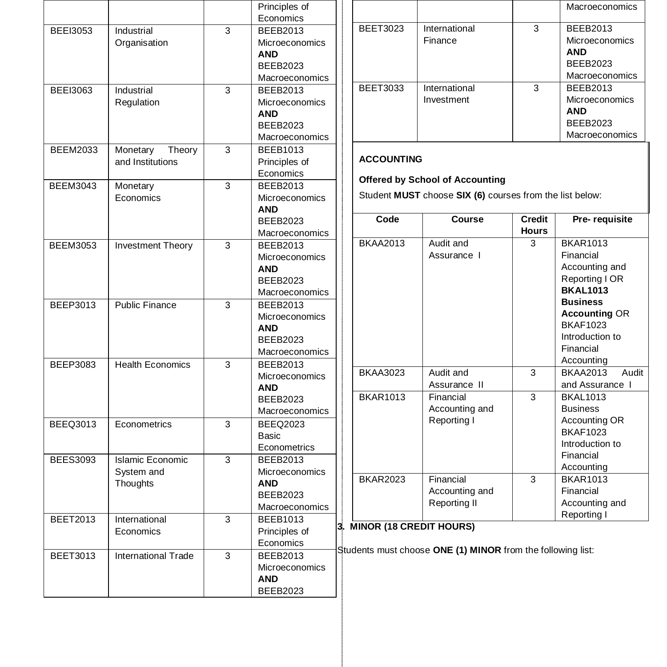|                 |                            |                | Principles of         |        |
|-----------------|----------------------------|----------------|-----------------------|--------|
|                 |                            |                | Economics             |        |
| <b>BEEI3053</b> | Industrial                 | 3              | <b>BEEB2013</b>       | E      |
|                 | Organisation               |                | Microeconomics        |        |
|                 |                            |                | <b>AND</b>            |        |
|                 |                            |                | <b>BEEB2023</b>       |        |
|                 |                            |                | Macroeconomics        |        |
| <b>BEEI3063</b> | Industrial                 | 3              | <b>BEEB2013</b>       | E      |
|                 | Regulation                 |                | Microeconomics        |        |
|                 |                            |                | <b>AND</b>            |        |
|                 |                            |                | <b>BEEB2023</b>       |        |
|                 |                            |                | Macroeconomics        |        |
| <b>BEEM2033</b> | Monetary<br>Theory         | 3              | <b>BEEB1013</b>       |        |
|                 | and Institutions           |                | Principles of         | A      |
|                 |                            |                | Economics             |        |
| <b>BEEM3043</b> | Monetary                   | 3              | <b>BEEB2013</b>       | C      |
|                 | Economics                  |                | <b>Microeconomics</b> | Ś      |
|                 |                            |                | <b>AND</b>            |        |
|                 |                            |                | <b>BEEB2023</b>       |        |
|                 |                            |                | Macroeconomics        |        |
| <b>BEEM3053</b> | Investment Theory          | 3              | <b>BEEB2013</b>       | E      |
|                 |                            |                | Microeconomics        |        |
|                 |                            |                | <b>AND</b>            |        |
|                 |                            |                | <b>BEEB2023</b>       |        |
|                 |                            |                | Macroeconomics        |        |
| <b>BEEP3013</b> | <b>Public Finance</b>      | 3              | <b>BEEB2013</b>       |        |
|                 |                            |                | Microeconomics        |        |
|                 |                            |                | <b>AND</b>            |        |
|                 |                            |                | <b>BEEB2023</b>       |        |
|                 |                            |                | Macroeconomics        |        |
| BEEP3083        | <b>Health Economics</b>    | 3              | <b>BEEB2013</b>       |        |
|                 |                            |                | <b>Microeconomics</b> | E      |
|                 |                            |                | <b>AND</b>            |        |
|                 |                            |                | <b>BEEB2023</b>       | E      |
|                 |                            |                | Macroeconomics        |        |
| <b>BEEQ3013</b> | Econometrics               | 3              | <b>BEEQ2023</b>       |        |
|                 |                            |                | Basic                 |        |
|                 |                            |                | Econometrics          |        |
| <b>BEES3093</b> | <b>Islamic Economic</b>    | 3              | <b>BEEB2013</b>       |        |
|                 | System and                 |                | Microeconomics        |        |
|                 | Thoughts                   |                | AND                   | E      |
|                 |                            |                | <b>BEEB2023</b>       |        |
|                 |                            |                | Macroeconomics        |        |
| <b>BEET2013</b> | International              | $\overline{3}$ | <b>BEEB1013</b>       |        |
|                 | Economics                  |                | Principles of         | 3. MII |
|                 |                            |                | Economics             |        |
| <b>BEET3013</b> |                            | 3              |                       | Studer |
|                 | <b>International Trade</b> |                | <b>BEEB2013</b>       |        |
|                 |                            |                | Microeconomics        |        |
|                 |                            |                | AND                   |        |
|                 |                            |                | <b>BEEB2023</b>       |        |

|                 |                             |   | <b>Macroeconomics</b>                                                                              |
|-----------------|-----------------------------|---|----------------------------------------------------------------------------------------------------|
| <b>BEET3023</b> | International<br>Finance    | 3 | <b>BEEB2013</b><br><b>Microeconomics</b><br><b>AND</b><br><b>BEEB2023</b><br><b>Macroeconomics</b> |
| <b>BEET3033</b> | International<br>Investment | 3 | <b>BEEB2013</b><br><b>Microeconomics</b><br><b>AND</b><br><b>BEEB2023</b><br><b>Macroeconomics</b> |

# **ACCOUNTING**

# **Offered by School of Accounting**

Student **MUST** choose **SIX (6)** courses from the list below:

| Code            | Course         | <b>Credit</b> | Pre-requisite            |
|-----------------|----------------|---------------|--------------------------|
|                 |                | <b>Hours</b>  |                          |
| <b>BKAA2013</b> | Audit and      | 3             | <b>BKAR1013</b>          |
|                 | Assurance I    |               | Financial                |
|                 |                |               | Accounting and           |
|                 |                |               | Reporting I OR           |
|                 |                |               | <b>BKAL1013</b>          |
|                 |                |               | <b>Business</b>          |
|                 |                |               | <b>Accounting OR</b>     |
|                 |                |               | <b>BKAF1023</b>          |
|                 |                |               | Introduction to          |
|                 |                |               | Financial                |
|                 |                |               | Accounting               |
| <b>BKAA3023</b> | Audit and      | 3             | Audit<br><b>BKAA2013</b> |
|                 | Assurance II   |               | and Assurance I          |
| <b>BKAR1013</b> | Financial      | 3             | <b>BKAL1013</b>          |
|                 | Accounting and |               | <b>Business</b>          |
|                 | Reporting I    |               | Accounting OR            |
|                 |                |               | <b>BKAF1023</b>          |
|                 |                |               | Introduction to          |
|                 |                |               | Financial                |
|                 |                |               | Accounting               |
| <b>BKAR2023</b> | Financial      | 3             | <b>BKAR1013</b>          |
|                 | Accounting and |               | Financial                |
|                 | Reporting II   |               | Accounting and           |
|                 |                |               | Reporting I              |

# **3. MINOR (18 CREDIT HOURS)**

ents must choose ONE (1) MINOR from the following list: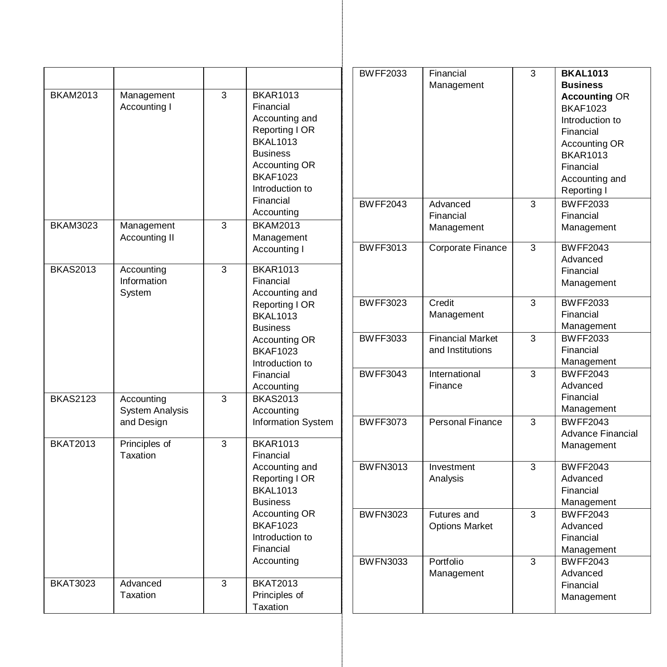|                                                                                                                                            |                                                  |                                      |                                                                                          | <b>BWFF2033</b>                                        | Financial                                              | 3                       | <b>BKAL1013</b>                                            |
|--------------------------------------------------------------------------------------------------------------------------------------------|--------------------------------------------------|--------------------------------------|------------------------------------------------------------------------------------------|--------------------------------------------------------|--------------------------------------------------------|-------------------------|------------------------------------------------------------|
|                                                                                                                                            |                                                  |                                      |                                                                                          |                                                        | Management                                             |                         | <b>Business</b>                                            |
| <b>BKAM2013</b><br>3<br><b>BKAR1013</b><br>Management<br>Accounting I<br>Financial<br>Accounting and                                       |                                                  |                                      |                                                                                          |                                                        |                                                        |                         | <b>Accounting OR</b><br><b>BKAF1023</b><br>Introduction to |
|                                                                                                                                            |                                                  |                                      | Reporting I OR<br><b>BKAL1013</b><br><b>Business</b><br>Accounting OR<br><b>BKAF1023</b> |                                                        |                                                        |                         | Financial<br>Accounting OR<br><b>BKAR1013</b><br>Financial |
|                                                                                                                                            |                                                  |                                      | Introduction to<br>Financial                                                             | <b>BWFF2043</b>                                        | Advanced                                               | 3                       | Accounting and<br>Reporting I<br><b>BWFF2033</b>           |
| <b>BKAM3023</b>                                                                                                                            | Accounting<br>3<br>Management<br><b>BKAM2013</b> |                                      |                                                                                          | Financial<br>Management                                |                                                        | Financial<br>Management |                                                            |
|                                                                                                                                            | Accounting II                                    |                                      | Management<br>Accounting I                                                               | <b>BWFF3013</b>                                        | Corporate Finance                                      | $\overline{3}$          | <b>BWFF2043</b><br>Advanced                                |
| <b>BKAS2013</b>                                                                                                                            | Accounting<br>Information<br>System              | 3                                    | <b>BKAR1013</b><br>Financial<br>Accounting and                                           |                                                        |                                                        |                         | Financial<br>Management                                    |
|                                                                                                                                            |                                                  |                                      | Reporting I OR<br><b>BKAL1013</b><br><b>Business</b>                                     | <b>BWFF3023</b>                                        | Credit<br>Management                                   | 3                       | <b>BWFF2033</b><br>Financial<br>Management                 |
|                                                                                                                                            |                                                  |                                      | Accounting OR<br><b>BKAF1023</b><br>Introduction to                                      | <b>BWFF3033</b>                                        | <b>Financial Market</b><br>and Institutions            | 3                       | <b>BWFF2033</b><br>Financial<br>Management                 |
| <b>BKAS2123</b>                                                                                                                            | Accounting                                       | $\overline{3}$                       | Financial<br>Accounting<br><b>BKAS2013</b>                                               | <b>BWFF3043</b>                                        | International<br>Finance                               | 3                       | <b>BWFF2043</b><br>Advanced<br>Financial                   |
|                                                                                                                                            | <b>System Analysis</b>                           |                                      | Accounting                                                                               |                                                        |                                                        |                         | Management                                                 |
|                                                                                                                                            | and Design                                       | $\overline{3}$                       | Information System                                                                       | <b>BWFF3073</b>                                        | Personal Finance                                       | 3                       | <b>BWFF2043</b><br><b>Advance Financial</b>                |
| <b>BKAT2013</b>                                                                                                                            | Principles of<br>Taxation                        |                                      | <b>BKAR1013</b><br>Financial                                                             |                                                        |                                                        |                         | Management                                                 |
| Accounting and<br>Reporting I OR<br><b>BKAL1013</b><br><b>Business</b><br>Accounting OR<br><b>BKAF1023</b><br>Introduction to<br>Financial |                                                  | <b>BWFN3013</b>                      | Investment<br>Analysis                                                                   | 3                                                      | <b>BWFF2043</b><br>Advanced<br>Financial<br>Management |                         |                                                            |
|                                                                                                                                            | <b>BWFN3023</b>                                  | Futures and<br><b>Options Market</b> | 3                                                                                        | <b>BWFF2043</b><br>Advanced<br>Financial<br>Management |                                                        |                         |                                                            |
| <b>BKAT3023</b>                                                                                                                            | Advanced                                         | 3                                    | Accounting<br><b>BKAT2013</b>                                                            | <b>BWFN3033</b>                                        | Portfolio<br>Management                                | 3                       | <b>BWFF2043</b><br>Advanced                                |
|                                                                                                                                            | Taxation                                         |                                      | Principles of<br>Taxation                                                                |                                                        |                                                        |                         | Financial<br>Management                                    |

÷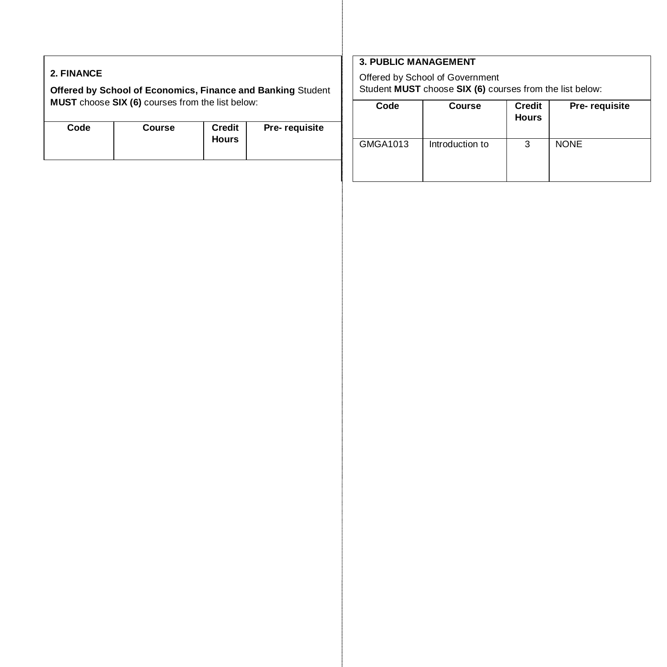# **2. FINANCE**

**Offered by School of Economics, Finance and Banking** Student **MUST** choose **SIX (6)** courses from the list below:

| Code | <b>Course</b> | <b>Credit</b><br><b>Hours</b> | Pre-requisite |
|------|---------------|-------------------------------|---------------|
|------|---------------|-------------------------------|---------------|

# **3. PUBLIC MANAGEMENT**

Offered by School of Government Student **MUST** choose **SIX (6)** courses from the list below:

| Code     | Course          | <b>Credit</b><br><b>Hours</b> | Pre-requisite |
|----------|-----------------|-------------------------------|---------------|
| GMGA1013 | Introduction to | 3                             | <b>NONE</b>   |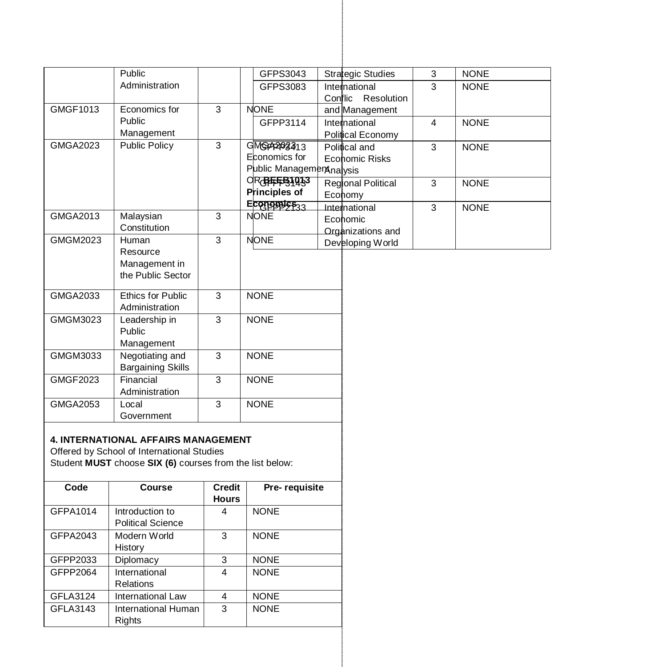|                 | Public                                                                                                                                        |                         | GFPS3043                  | <b>Strategic Studies</b>  | 3              | <b>NONE</b> |  |
|-----------------|-----------------------------------------------------------------------------------------------------------------------------------------------|-------------------------|---------------------------|---------------------------|----------------|-------------|--|
|                 | Administration                                                                                                                                |                         | GFPS3083                  | International             | 3              | <b>NONE</b> |  |
|                 |                                                                                                                                               |                         |                           | Conflic Resolution        |                |             |  |
| GMGF1013        | Economics for                                                                                                                                 | 3                       | <b>NONE</b>               | and Management            |                |             |  |
|                 | Public                                                                                                                                        |                         | GFPP3114                  | International             | $\overline{4}$ | <b>NONE</b> |  |
|                 | Management                                                                                                                                    |                         |                           | Political Economy         |                |             |  |
| <b>GMGA2023</b> | <b>Public Policy</b>                                                                                                                          | 3                       | GMG74203413               | Political and             | $\overline{3}$ | <b>NONE</b> |  |
|                 |                                                                                                                                               |                         | Economics for             | Economic Risks            |                |             |  |
|                 |                                                                                                                                               |                         | Public Management nalysis |                           |                |             |  |
|                 |                                                                                                                                               |                         | OR BEEB1033               | <b>Regional Political</b> | 3              | <b>NONE</b> |  |
|                 |                                                                                                                                               |                         | Principles of             | Economy                   |                |             |  |
|                 |                                                                                                                                               |                         | ECORDERSE33               | International             | 3              | <b>NONE</b> |  |
| GMGA2013        | Malaysian                                                                                                                                     | 3                       | <b>NONE</b>               | Economic                  |                |             |  |
|                 | Constitution                                                                                                                                  |                         |                           | <b>Organizations and</b>  |                |             |  |
| <b>GMGM2023</b> | Human                                                                                                                                         | 3                       | <b>NONE</b>               | Developing World          |                |             |  |
|                 | Resource                                                                                                                                      |                         |                           |                           |                |             |  |
|                 | Management in                                                                                                                                 |                         |                           |                           |                |             |  |
|                 | the Public Sector                                                                                                                             |                         |                           |                           |                |             |  |
|                 |                                                                                                                                               |                         |                           |                           |                |             |  |
| GMGA2033        | Ethics for Public                                                                                                                             | 3                       | <b>NONE</b>               |                           |                |             |  |
|                 | Administration                                                                                                                                |                         |                           |                           |                |             |  |
| GMGM3023        | Leadership in                                                                                                                                 | $\overline{3}$          | <b>NONE</b>               |                           |                |             |  |
|                 | Public                                                                                                                                        |                         |                           |                           |                |             |  |
|                 | Management                                                                                                                                    |                         |                           |                           |                |             |  |
| GMGM3033        | Negotiating and<br><b>Bargaining Skills</b>                                                                                                   | 3                       | <b>NONE</b>               |                           |                |             |  |
| GMGF2023        | Financial<br>Administration                                                                                                                   | 3                       | <b>NONE</b>               |                           |                |             |  |
| GMGA2053        | Local                                                                                                                                         | 3                       | <b>NONE</b>               |                           |                |             |  |
|                 |                                                                                                                                               |                         |                           |                           |                |             |  |
|                 | Government                                                                                                                                    |                         |                           |                           |                |             |  |
|                 | 4. INTERNATIONAL AFFAIRS MANAGEMENT<br>Offered by School of International Studies<br>Student MUST choose SIX (6) courses from the list below: |                         |                           |                           |                |             |  |
| Code            | Course                                                                                                                                        | <b>Credit</b>           | Pre-requisite             |                           |                |             |  |
|                 |                                                                                                                                               | <b>Hours</b>            |                           |                           |                |             |  |
| GFPA1014        | Introduction to                                                                                                                               | $\overline{4}$          | <b>NONE</b>               |                           |                |             |  |
|                 | <b>Political Science</b>                                                                                                                      |                         |                           |                           |                |             |  |
| GFPA2043        | Modern World<br>History                                                                                                                       | $\overline{3}$          | <b>NONE</b>               |                           |                |             |  |
| GFPP2033        | Diplomacy                                                                                                                                     | $\overline{3}$          | <b>NONE</b>               |                           |                |             |  |
| GFPP2064        | International<br><b>Relations</b>                                                                                                             | $\overline{\mathbf{4}}$ | <b>NONE</b>               |                           |                |             |  |
| GFLA3124        | International Law                                                                                                                             | 4                       | <b>NONE</b>               |                           |                |             |  |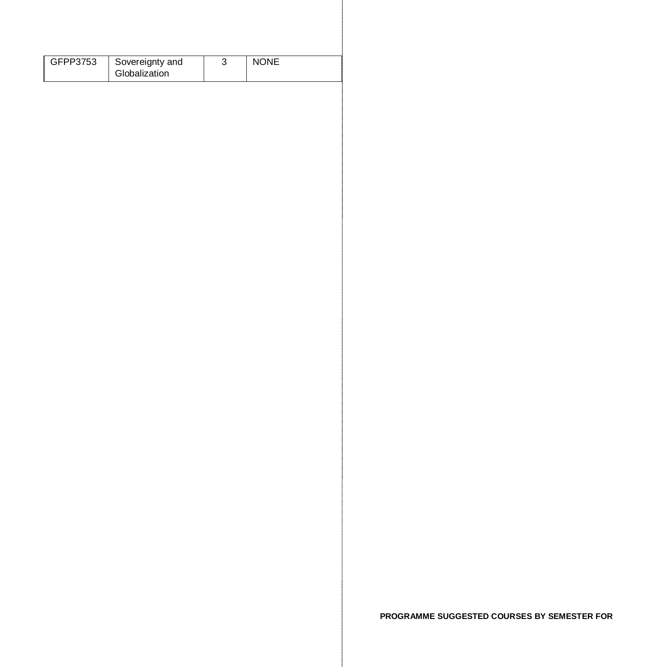| GFPP3753 | Sovereignty and | <b>NONE</b> |
|----------|-----------------|-------------|
|          | Globalization   |             |

**PROGRAMME SUGGESTED COURSES BY SEMESTER FOR**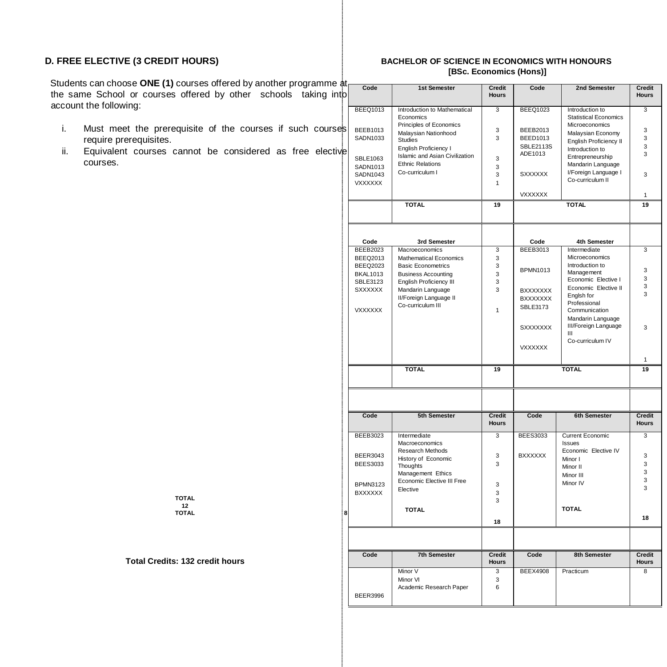Students can choose ONE (1) courses offered by another programme  $\frac{1}{6}$ the same School or courses offered by other schools taking into account the following:

- i. Must meet the prerequisite of the courses if such courses require prerequisites.
- ii. Equivalent courses cannot be considered as free elective courses.

#### **D. FREE ELECTIVE (3 CREDIT HOURS) BACHELOR OF SCIENCE IN ECONOMICS WITH HONOURS [BSc. Economics (Hons)]**

| D | Code                    | 1st Semester                                    | <b>Credit</b><br><b>Hours</b> | Code                    | 2nd Semester                                    | <b>Credit</b><br><b>Hours</b> |
|---|-------------------------|-------------------------------------------------|-------------------------------|-------------------------|-------------------------------------------------|-------------------------------|
|   | <b>BEEQ1013</b>         | Introduction to Mathematical<br>Economics       | 3                             | <b>BEEQ1023</b>         | Introduction to<br><b>Statistical Economics</b> | 3                             |
| S | BEEB1013                | Principles of Economics                         | 3                             | BEEB2013                | Microeconomics                                  | 3                             |
|   | SADN1033                | Malaysian Nationhood<br><b>Studies</b>          | 3                             | <b>BEED1013</b>         | Malaysian Economy<br>English Proficiency II     | 3                             |
|   |                         | English Proficiency I                           |                               | <b>SBLE2113S</b>        | Introduction to                                 | 3                             |
| e | SBLE1063                | Islamic and Asian Civilization                  | 3                             | ADE1013                 | Entrepreneurship                                | $\mathbf{a}$                  |
|   | SADN1013                | <b>Ethnic Relations</b>                         | 3                             |                         | Mandarin Language                               |                               |
|   | SADN1043                | Co-curriculum I                                 | 3                             | <b>SXXXXXX</b>          | I/Foreign Language I                            | 3                             |
|   | <b>VXXXXXX</b>          |                                                 | $\mathbf{1}$                  |                         | Co-curriculum II                                |                               |
|   |                         |                                                 |                               | <b>VXXXXXX</b>          |                                                 | 1                             |
|   |                         | <b>TOTAL</b>                                    | 19                            |                         | <b>TOTAL</b>                                    | 19                            |
|   |                         |                                                 |                               |                         |                                                 |                               |
|   | Code<br><b>BEEB2023</b> | 3rd Semester<br>Macroeconomics                  | 3                             | Code<br><b>BEEB3013</b> | 4th Semester<br>Intermediate                    | 3                             |
|   | <b>BEEQ2013</b>         | <b>Mathematical Economics</b>                   | 3                             |                         | Microeconomics                                  |                               |
|   | <b>BEEQ2023</b>         | <b>Basic Econometrics</b>                       | 3                             |                         | Introduction to                                 |                               |
|   | <b>BKAL1013</b>         | <b>Business Accounting</b>                      | 3                             | <b>BPMN1013</b>         | Management                                      | 3<br>3                        |
|   | SBLE3123                | English Proficiency III                         | 3                             |                         | Economic Elective I                             | 3                             |
|   | <b>SXXXXXX</b>          | Mandarin Language                               | 3                             | <b>BXXXXXXX</b>         | Economic Elective II<br>Englsh for              | 3                             |
|   |                         | II/Foreign Language II<br>Co-curriculum III     |                               | <b>BXXXXXXX</b>         | Professional                                    |                               |
|   | <b>VXXXXXX</b>          |                                                 | $\mathbf{1}$                  | SBLE3173                | Communication                                   |                               |
|   |                         |                                                 |                               |                         | Mandarin Language                               |                               |
|   |                         |                                                 |                               | <b>SXXXXXXX</b>         | III/Foreign Language<br>Ш                       | 3                             |
|   |                         |                                                 |                               |                         | Co-curriculum IV                                |                               |
|   |                         |                                                 |                               | <b>VXXXXXX</b>          |                                                 |                               |
|   |                         |                                                 |                               |                         |                                                 |                               |
|   |                         | <b>TOTAL</b>                                    | 19                            |                         | <b>TOTAL</b>                                    | 19                            |
|   |                         |                                                 |                               |                         |                                                 |                               |
|   | Code                    | 5th Semester                                    | <b>Credit</b>                 | Code                    | 6th Semester                                    | <b>Credit</b>                 |
|   |                         |                                                 | <b>Hours</b>                  |                         |                                                 | <b>Hours</b>                  |
|   | <b>BEEB3023</b>         | Intermediate<br>Macroeconomics                  | 3                             | <b>BEES3033</b>         | <b>Current Economic</b><br><b>Issues</b>        | 3                             |
|   |                         | Research Methods                                |                               |                         | Economic Elective IV                            |                               |
|   | <b>BEER3043</b>         | History of Economic                             | 3                             | <b>BXXXXXX</b>          | Minor I                                         | 3<br>3                        |
|   | <b>BEES3033</b>         | Thoughts                                        | 3                             |                         | Minor II                                        | 3                             |
|   |                         | Management Ethics<br>Economic Elective III Free |                               |                         | Minor III                                       | 3                             |
|   | <b>BPMN3123</b>         | Elective                                        | 3                             |                         | Minor IV                                        | 3                             |
|   | <b>BXXXXXX</b>          |                                                 | 3<br>3                        |                         |                                                 |                               |
|   |                         | <b>TOTAL</b>                                    |                               |                         | <b>TOTAL</b>                                    |                               |
| 8 |                         |                                                 | 18                            |                         |                                                 | 18                            |
|   |                         |                                                 |                               |                         |                                                 |                               |
|   |                         |                                                 |                               |                         |                                                 |                               |
|   | Code                    | <b>7th Semester</b>                             | <b>Credit</b><br><b>Hours</b> | Code                    | 8th Semester                                    | <b>Credit</b><br><b>Hours</b> |
|   |                         | Minor V                                         | 3                             | <b>BEEX4908</b>         | Practicum                                       | 8                             |
|   |                         | Minor VI                                        | 3                             |                         |                                                 |                               |
|   |                         | Academic Research Paper                         | 6                             |                         |                                                 |                               |
|   | <b>BEER3996</b>         |                                                 |                               |                         |                                                 |                               |

#### **TOTAL**  12<br>**TOTAL TOTAL 8**

**Total Credits: 132 credit hours**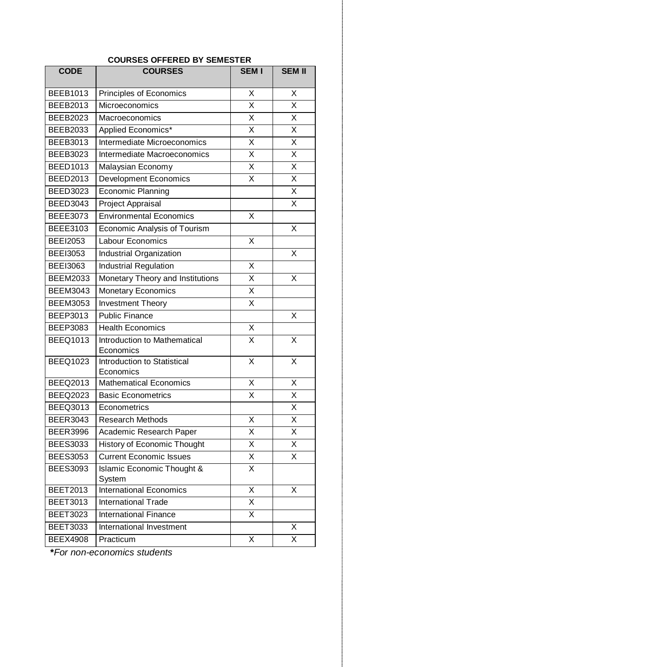| <b>CODE</b>     | uunje<br>∟ואו∟כים ע<br><b>COURSES</b>      | <b>SEM I</b>            | <b>SEM II</b>           |  |
|-----------------|--------------------------------------------|-------------------------|-------------------------|--|
|                 |                                            |                         |                         |  |
| <b>BEEB1013</b> | Principles of Economics                    | X                       | X                       |  |
| <b>BEEB2013</b> | Microeconomics                             | X                       | $\overline{\mathsf{x}}$ |  |
| <b>BEEB2023</b> | Macroeconomics                             | X                       | X                       |  |
| <b>BEEB2033</b> | Applied Economics*                         | $\overline{\mathsf{x}}$ | $\overline{\mathsf{x}}$ |  |
| <b>BEEB3013</b> | Intermediate Microeconomics                | X                       | X                       |  |
| <b>BEEB3023</b> | Intermediate Macroeconomics                | X                       | X                       |  |
| <b>BEED1013</b> | Malaysian Economy                          | X                       | $\overline{\mathsf{x}}$ |  |
| <b>BEED2013</b> | <b>Development Economics</b>               | X                       | X                       |  |
| <b>BEED3023</b> | Economic Planning                          |                         | X                       |  |
| <b>BEED3043</b> | Project Appraisal                          |                         | $\overline{\mathsf{x}}$ |  |
| <b>BEEE3073</b> | <b>Environmental Economics</b>             | X                       |                         |  |
| <b>BEEE3103</b> | Economic Analysis of Tourism               |                         | X                       |  |
| <b>BEEI2053</b> | Labour Economics                           | X                       |                         |  |
| <b>BEE13053</b> | <b>Industrial Organization</b>             |                         | X                       |  |
| <b>BEE13063</b> | <b>Industrial Regulation</b>               | X                       |                         |  |
| <b>BEEM2033</b> | Monetary Theory and Institutions           | $\overline{\mathsf{x}}$ | $\overline{\mathsf{x}}$ |  |
| <b>BEEM3043</b> | <b>Monetary Economics</b>                  | X                       |                         |  |
| <b>BEEM3053</b> | <b>Investment Theory</b>                   | X                       |                         |  |
| BEEP3013        | <b>Public Finance</b>                      |                         | X                       |  |
| <b>BEEP3083</b> | <b>Health Economics</b>                    | X                       |                         |  |
| <b>BEEQ1013</b> | Introduction to Mathematical               | X                       | X                       |  |
|                 | Economics                                  |                         |                         |  |
| <b>BEEQ1023</b> | Introduction to Statistical                | X                       | X                       |  |
| <b>BEEQ2013</b> | Economics<br><b>Mathematical Economics</b> | $\overline{\mathsf{x}}$ | $\overline{\mathsf{x}}$ |  |
| <b>BEEQ2023</b> | <b>Basic Econometrics</b>                  | X                       | X                       |  |
| <b>BEEQ3013</b> | Econometrics                               |                         | $\overline{\mathsf{x}}$ |  |
| <b>BEER3043</b> | <b>Research Methods</b>                    | X                       | $\overline{\mathsf{x}}$ |  |
| <b>BEER3996</b> | Academic Research Paper                    | X                       | X                       |  |
| <b>BEES3033</b> | History of Economic Thought                | X                       | X                       |  |
| <b>BEES3053</b> | <b>Current Economic Issues</b>             | X                       | X                       |  |
| <b>BEES3093</b> | Islamic Economic Thought &                 | X                       |                         |  |
|                 | System                                     |                         |                         |  |
| <b>BEET2013</b> | <b>International Economics</b>             | X                       | X                       |  |
| <b>BEET3013</b> | <b>International Trade</b>                 | X                       |                         |  |
| <b>BEET3023</b> | <b>International Finance</b>               | X                       |                         |  |
| <b>BEET3033</b> | International Investment                   |                         | X                       |  |
| <b>BEEX4908</b> | Practicum                                  | X                       | $\overline{\mathsf{x}}$ |  |

# **COURSES OFFERED BY SEMESTER**

**\****For non-economics students*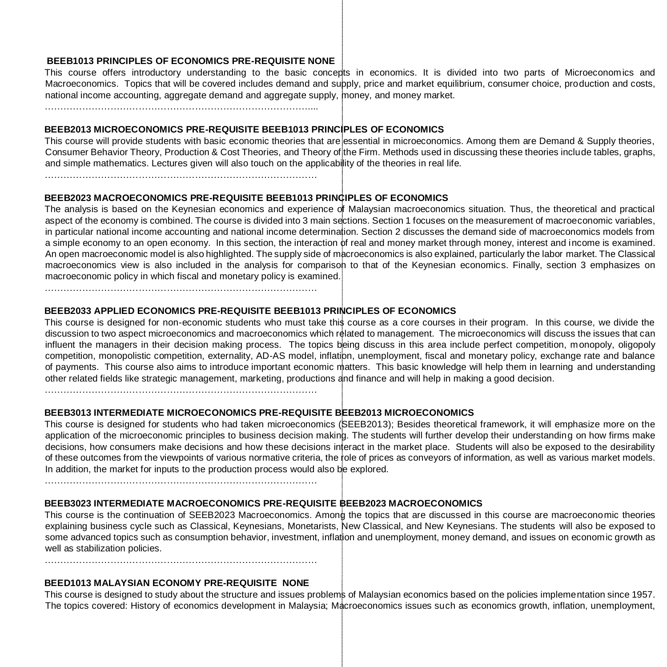# **BEEB1013 PRINCIPLES OF ECONOMICS PRE-REQUISITE NONE**

This course offers introductory understanding to the basic concepts in economics. It is divided into two parts of Microeconomics and Macroeconomics. Topics that will be covered includes demand and supply, price and market equilibrium, consumer choice, production and costs, national income accounting, aggregate demand and aggregate supply, money, and money market.

…………………………………………………………………………....

#### **BEEB2013 MICROECONOMICS PRE-REQUISITE BEEB1013 PRINCIPLES OF ECONOMICS**

This course will provide students with basic economic theories that are essential in microeconomics. Among them are Demand & Supply theories, Consumer Behavior Theory, Production & Cost Theories, and Theory of the Firm. Methods used in discussing these theories include tables, graphs, and simple mathematics. Lectures given will also touch on the applicability of the theories in real life.

……………………………………………………………………………

### **BEEB2023 MACROECONOMICS PRE-REQUISITE BEEB1013 PRINCIPLES OF ECONOMICS**

The analysis is based on the Keynesian economics and experience of Malaysian macroeconomics situation. Thus, the theoretical and practical aspect of the economy is combined. The course is divided into 3 main sections. Section 1 focuses on the measurement of macroeconomic variables, in particular national income accounting and national income determination. Section 2 discusses the demand side of macroeconomics models from a simple economy to an open economy. In this section, the interaction of real and money market through money, interest and income is examined. An open macroeconomic model is also highlighted. The supply side of macroeconomics is also explained, particularly the labor market. The Classical macroeconomics view is also included in the analysis for comparison to that of the Keynesian economics. Finally, section 3 emphasizes on macroeconomic policy in which fiscal and monetary policy is examined.

……………………………………………………………………………

# **BEEB2033 APPLIED ECONOMICS PRE-REQUISITE BEEB1013 PRINCIPLES OF ECONOMICS**

This course is designed for non-economic students who must take this course as a core courses in their program. In this course, we divide the discussion to two aspect microeconomics and macroeconomics which related to management. The microeconomics will discuss the issues that can influent the managers in their decision making process. The topics being discuss in this area include perfect competition, monopoly, oligopoly competition, monopolistic competition, externality, AD-AS model, inflation, unemployment, fiscal and monetary policy, exchange rate and balance of payments. This course also aims to introduce important economic matters. This basic knowledge will help them in learning and understanding other related fields like strategic management, marketing, productions and finance and will help in making a good decision.

……………………………………………………………………………

### **BEEB3013 INTERMEDIATE MICROECONOMICS PRE-REQUISITE BEEB2013 MICROECONOMICS**

This course is designed for students who had taken microeconomics (SEEB2013); Besides theoretical framework, it will emphasize more on the application of the microeconomic principles to business decision making. The students will further develop their understanding on how firms make decisions, how consumers make decisions and how these decisions interact in the market place. Students will also be exposed to the desirability of these outcomes from the viewpoints of various normative criteria, the role of prices as conveyors of information, as well as various market models. In addition, the market for inputs to the production process would also be explored.

……………………………………………………………………………

# **BEEB3023 INTERMEDIATE MACROECONOMICS PRE-REQUISITE BEEB2023 MACROECONOMICS**

This course is the continuation of SEEB2023 Macroeconomics. Among the topics that are discussed in this course are macroeconomic theories explaining business cycle such as Classical, Keynesians, Monetarists, New Classical, and New Keynesians. The students will also be exposed to some advanced topics such as consumption behavior, investment, inflation and unemployment, money demand, and issues on economic growth as well as stabilization policies.

……………………………………………………………………………

# **BEED1013 MALAYSIAN ECONOMY PRE-REQUISITE NONE**

This course is designed to study about the structure and issues problems of Malaysian economics based on the policies implementation since 1957. The topics covered: History of economics development in Malaysia; Macroeconomics issues such as economics growth, inflation, unemployment,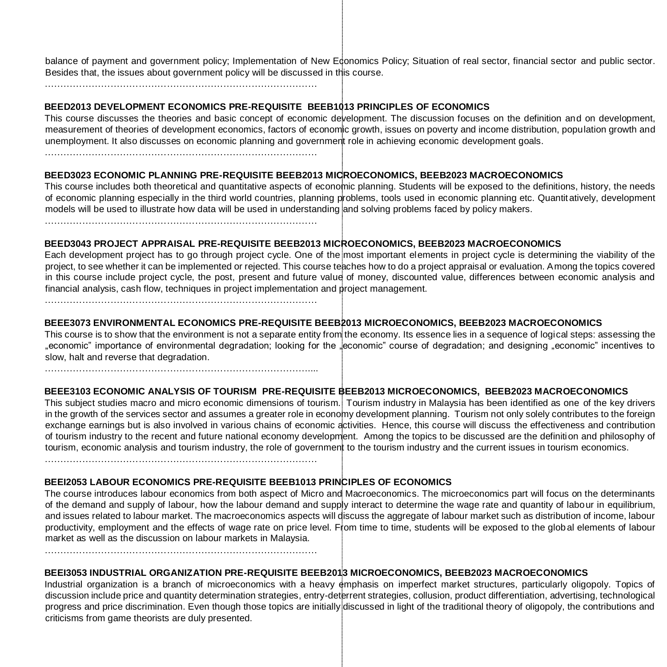balance of payment and government policy; Implementation of New Economics Policy; Situation of real sector, financial sector and public sector. Besides that, the issues about government policy will be discussed in this course.

……………………………………………………………………………

# **BEED2013 DEVELOPMENT ECONOMICS PRE-REQUISITE BEEB1013 PRINCIPLES OF ECONOMICS**

This course discusses the theories and basic concept of economic development. The discussion focuses on the definition and on development, measurement of theories of development economics, factors of economic growth, issues on poverty and income distribution, population growth and unemployment. It also discusses on economic planning and government role in achieving economic development goals.

……………………………………………………………………………

# **BEED3023 ECONOMIC PLANNING PRE-REQUISITE BEEB2013 MICROECONOMICS, BEEB2023 MACROECONOMICS**

This course includes both theoretical and quantitative aspects of economic planning. Students will be exposed to the definitions, history, the needs of economic planning especially in the third world countries, planning problems, tools used in economic planning etc. Quantit atively, development models will be used to illustrate how data will be used in understanding and solving problems faced by policy makers.

……………………………………………………………………………

# **BEED3043 PROJECT APPRAISAL PRE-REQUISITE BEEB2013 MICROECONOMICS, BEEB2023 MACROECONOMICS**

Each development project has to go through project cycle. One of the most important elements in project cycle is determining the viability of the project, to see whether it can be implemented or rejected. This course teaches how to do a project appraisal or evaluation. Among the topics covered in this course include project cycle, the post, present and future value of money, discounted value, differences between economic analysis and financial analysis, cash flow, techniques in project implementation and project management.

……………………………………………………………………………

# **BEEE3073 ENVIRONMENTAL ECONOMICS PRE-REQUISITE BEEB2013 MICROECONOMICS, BEEB2023 MACROECONOMICS**

This course is to show that the environment is not a separate entity from the economy. Its essence lies in a sequence of logical steps: assessing the "economic" importance of environmental degradation; looking for the "economic" course of degradation; and designing "economic" incentives to slow, halt and reverse that degradation.

…………………………………………………………………………....

# **BEEE3103 ECONOMIC ANALYSIS OF TOURISM PRE-REQUISITE BEEB2013 MICROECONOMICS, BEEB2023 MACROECONOMICS**

This subject studies macro and micro economic dimensions of tourism. Tourism industry in Malaysia has been identified as one of the key drivers in the growth of the services sector and assumes a greater role in economy development planning. Tourism not only solely contributes to the foreign exchange earnings but is also involved in various chains of economic activities. Hence, this course will discuss the effectiveness and contribution of tourism industry to the recent and future national economy development. Among the topics to be discussed are the definition and philosophy of tourism, economic analysis and tourism industry, the role of government to the tourism industry and the current issues in tourism economics.

……………………………………………………………………………

# **BEEI2053 LABOUR ECONOMICS PRE-REQUISITE BEEB1013 PRINCIPLES OF ECONOMICS**

The course introduces labour economics from both aspect of Micro and Macroeconomics. The microeconomics part will focus on the determinants of the demand and supply of labour, how the labour demand and supply interact to determine the wage rate and quantity of labour in equilibrium, and issues related to labour market. The macroeconomics aspects will discuss the aggregate of labour market such as distribution of income, labour productivity, employment and the effects of wage rate on price level. From time to time, students will be exposed to the global elements of labour market as well as the discussion on labour markets in Malaysia.

……………………………………………………………………………

# **BEEI3053 INDUSTRIAL ORGANIZATION PRE-REQUISITE BEEB2013 MICROECONOMICS, BEEB2023 MACROECONOMICS**

Industrial organization is a branch of microeconomics with a heavy emphasis on imperfect market structures, particularly oligopoly. Topics of discussion include price and quantity determination strategies, entry-deterrent strategies, collusion, product differentiation, advertising, technological progress and price discrimination. Even though those topics are initially discussed in light of the traditional theory of oligopoly, the contributions and criticisms from game theorists are duly presented.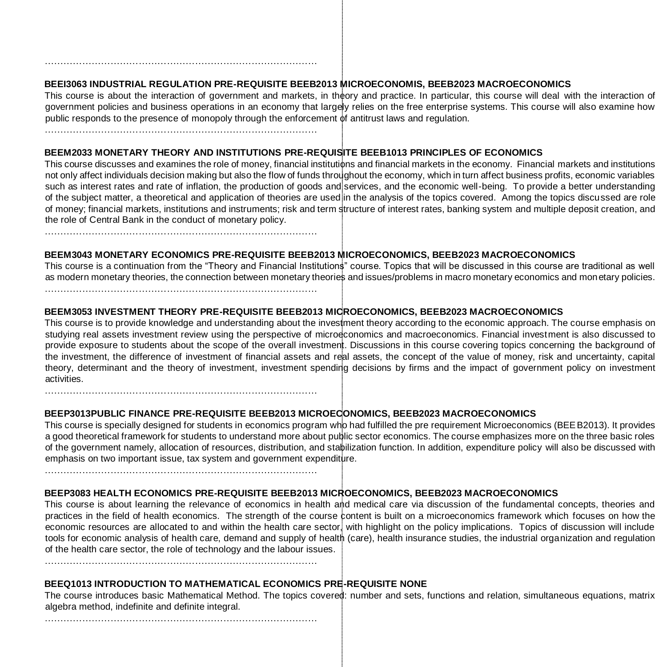# **BEEI3063 INDUSTRIAL REGULATION PRE-REQUISITE BEEB2013 MICROECONOMIS, BEEB2023 MACROECONOMICS**

This course is about the interaction of government and markets, in theory and practice. In particular, this course will deal with the interaction of government policies and business operations in an economy that largely relies on the free enterprise systems. This course will also examine how public responds to the presence of monopoly through the enforcement of antitrust laws and regulation.

……………………………………………………………………………

……………………………………………………………………………

# **BEEM2033 MONETARY THEORY AND INSTITUTIONS PRE-REQUISITE BEEB1013 PRINCIPLES OF ECONOMICS**

This course discusses and examines the role of money, financial institutions and financial markets in the economy. Financial markets and institutions not only affect individuals decision making but also the flow of funds throughout the economy, which in turn affect business profits, economic variables such as interest rates and rate of inflation, the production of goods and services, and the economic well-being. To provide a better understanding of the subject matter, a theoretical and application of theories are used in the analysis of the topics covered. Among the topics discussed are role of money; financial markets, institutions and instruments; risk and term structure of interest rates, banking system and multiple deposit creation, and the role of Central Bank in the conduct of monetary policy.

# **BEEM3043 MONETARY ECONOMICS PRE-REQUISITE BEEB2013 MICROECONOMICS, BEEB2023 MACROECONOMICS**

This course is a continuation from the "Theory and Financial Institutions" course. Topics that will be discussed in this course are traditional as well as modern monetary theories, the connection between monetary theories and issues/problems in macro monetary economics and monetary policies.

……………………………………………………………………………

# **BEEM3053 INVESTMENT THEORY PRE-REQUISITE BEEB2013 MICROECONOMICS, BEEB2023 MACROECONOMICS**

This course is to provide knowledge and understanding about the investment theory according to the economic approach. The course emphasis on studying real assets investment review using the perspective of microeconomics and macroeconomics. Financial investment is also discussed to provide exposure to students about the scope of the overall investment. Discussions in this course covering topics concerning the background of the investment, the difference of investment of financial assets and real assets, the concept of the value of money, risk and uncertainty, capital theory, determinant and the theory of investment, investment spending decisions by firms and the impact of government policy on investment activities.

……………………………………………………………………………

### **BEEP3013PUBLIC FINANCE PRE-REQUISITE BEEB2013 MICROECONOMICS, BEEB2023 MACROECONOMICS**

This course is specially designed for students in economics program who had fulfilled the pre requirement Microeconomics (BEE B2013). It provides a good theoretical framework for students to understand more about public sector economics. The course emphasizes more on the three basic roles of the government namely, allocation of resources, distribution, and stabilization function. In addition, expenditure policy will also be discussed with emphasis on two important issue, tax system and government expenditure.

……………………………………………………………………………

# **BEEP3083 HEALTH ECONOMICS PRE-REQUISITE BEEB2013 MICROECONOMICS, BEEB2023 MACROECONOMICS**

This course is about learning the relevance of economics in health and medical care via discussion of the fundamental concepts, theories and practices in the field of health economics. The strength of the course content is built on a microeconomics framework which focuses on how the economic resources are allocated to and within the health care sector, with highlight on the policy implications. Topics of discussion will include tools for economic analysis of health care, demand and supply of health (care), health insurance studies, the industrial organization and regulation of the health care sector, the role of technology and the labour issues. ……………………………………………………………………………

**BEEQ1013 INTRODUCTION TO MATHEMATICAL ECONOMICS PRE-REQUISITE NONE** 

The course introduces basic Mathematical Method. The topics covered: number and sets, functions and relation, simultaneous equations, matrix algebra method, indefinite and definite integral.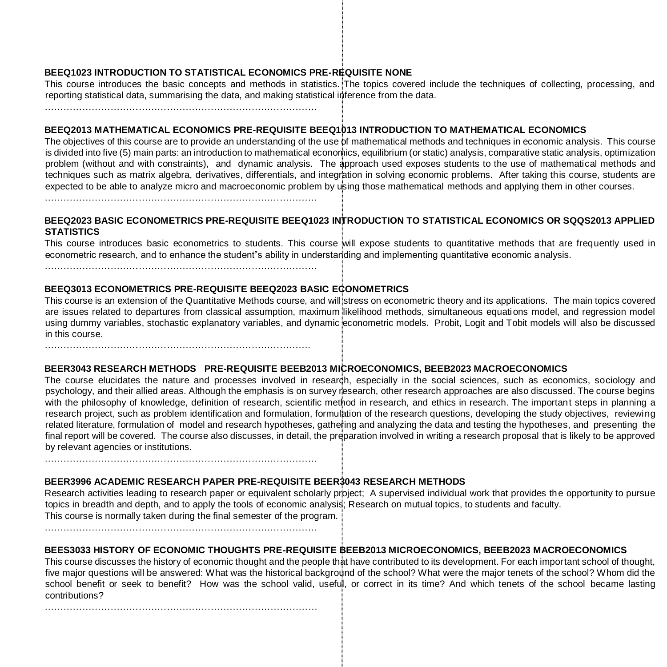# **BEEQ1023 INTRODUCTION TO STATISTICAL ECONOMICS PRE-REQUISITE NONE**

This course introduces the basic concepts and methods in statistics. The topics covered include the techniques of collecting, processing, and reporting statistical data, summarising the data, and making statistical inference from the data.

……………………………………………………………………………

# **BEEQ2013 MATHEMATICAL ECONOMICS PRE-REQUISITE BEEQ1013 INTRODUCTION TO MATHEMATICAL ECONOMICS**

The objectives of this course are to provide an understanding of the use of mathematical methods and techniques in economic analysis. This course is divided into five (5) main parts: an introduction to mathematical economics, equilibrium (or static) analysis, comparative static analysis, optimization problem (without and with constraints), and dynamic analysis. The approach used exposes students to the use of mathematical methods and techniques such as matrix algebra, derivatives, differentials, and integration in solving economic problems. After taking this course, students are expected to be able to analyze micro and macroeconomic problem by using those mathematical methods and applying them in other courses.

……………………………………………………………………………

# **BEEQ2023 BASIC ECONOMETRICS PRE-REQUISITE BEEQ1023 INTRODUCTION TO STATISTICAL ECONOMICS OR SQQS2013 APPLIED STATISTICS**

This course introduces basic econometrics to students. This course will expose students to quantitative methods that are frequently used in econometric research, and to enhance the student"s ability in understanding and implementing quantitative economic analysis.

……………………………………………………………………………

# **BEEQ3013 ECONOMETRICS PRE-REQUISITE BEEQ2023 BASIC ECONOMETRICS**

This course is an extension of the Quantitative Methods course, and will stress on econometric theory and its applications. The main topics covered are issues related to departures from classical assumption, maximum likelihood methods, simultaneous equations model, and regression model using dummy variables, stochastic explanatory variables, and dynamic econometric models. Probit, Logit and Tobit models will also be discussed in this course.

………………………………………………………………………….

# **BEER3043 RESEARCH METHODS PRE-REQUISITE BEEB2013 MICROECONOMICS, BEEB2023 MACROECONOMICS**

The course elucidates the nature and processes involved in research, especially in the social sciences, such as economics, sociology and psychology, and their allied areas. Although the emphasis is on survey research, other research approaches are also discussed. The course begins with the philosophy of knowledge, definition of research, scientific method in research, and ethics in research. The important steps in planning a research project, such as problem identification and formulation, formulation of the research questions, developing the study objectives, reviewing related literature, formulation of model and research hypotheses, gathering and analyzing the data and testing the hypotheses, and presenting the final report will be covered. The course also discusses, in detail, the preparation involved in writing a research proposal that is likely to be approved by relevant agencies or institutions.

# **BEER3996 ACADEMIC RESEARCH PAPER PRE-REQUISITE BEER3043 RESEARCH METHODS**

Research activities leading to research paper or equivalent scholarly project; A supervised individual work that provides the opportunity to pursue topics in breadth and depth, and to apply the tools of economic analysis; Research on mutual topics, to students and faculty. This course is normally taken during the final semester of the program.

……………………………………………………………………………

……………………………………………………………………………

# **BEES3033 HISTORY OF ECONOMIC THOUGHTS PRE-REQUISITE BEEB2013 MICROECONOMICS, BEEB2023 MACROECONOMICS**

This course discusses the history of economic thought and the people that have contributed to its development. For each important school of thought, five major questions will be answered: What was the historical background of the school? What were the major tenets of the school? Whom did the school benefit or seek to benefit? How was the school valid, useful, or correct in its time? And which tenets of the school became lasting contributions?